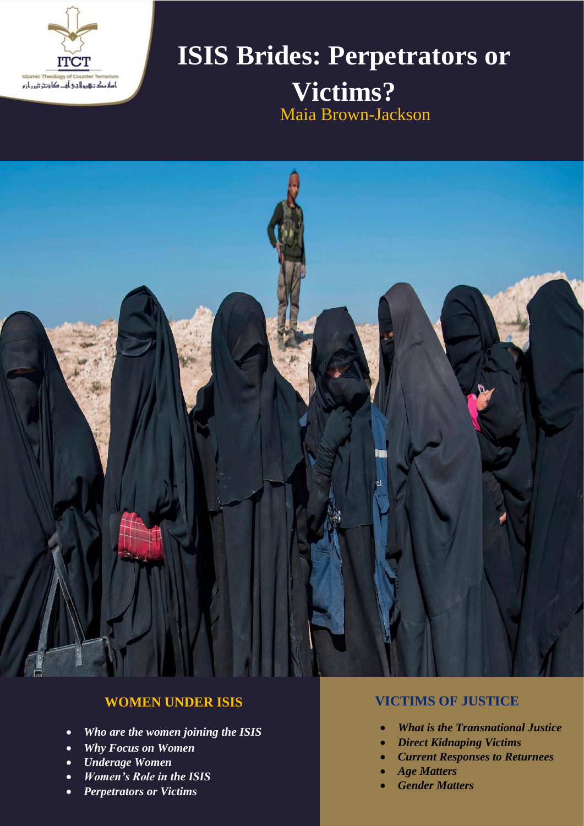

# **ISIS Brides: Perpetrators or Victims?** Maia Brown-Jackson



# **WOMEN UNDER ISIS**

- *Who are the women joining the ISIS*
- *Why Focus on Women*
- *Underage Women*
- *Women's Role in the ISIS*
- *Perpetrators or Victims*

# **VICTIMS OF JUSTICE**

- *What is the Transnational Justice*
- *Direct Kidnaping Victims*
- *Current Responses to Returnees*
- *Age Matters*
- *Gender Matters*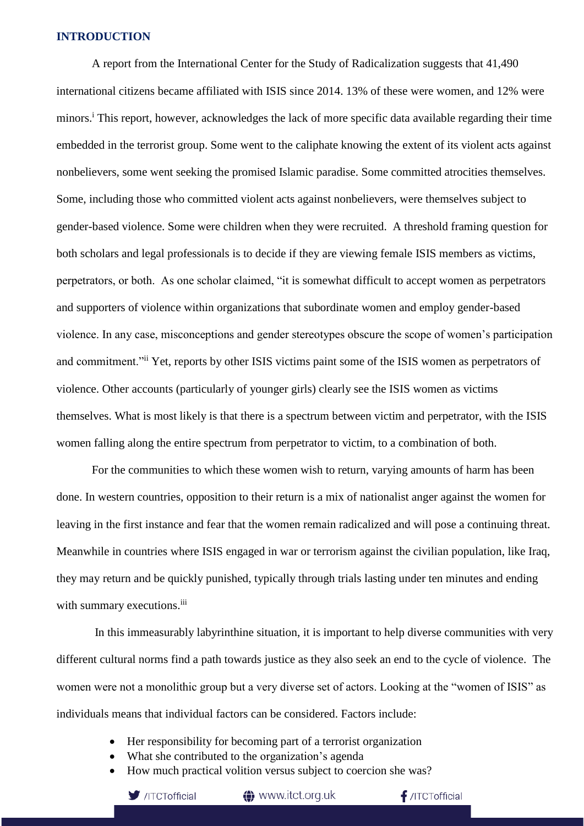#### **INTRODUCTION**

A report from the International Center for the Study of Radicalization suggests that 41,490 international citizens became affiliated with ISIS since 2014. 13% of these were women, and 12% were minors.<sup>i</sup> This report, however, acknowledges the lack of more specific data available regarding their time embedded in the terrorist group. Some went to the caliphate knowing the extent of its violent acts against nonbelievers, some went seeking the promised Islamic paradise. Some committed atrocities themselves. Some, including those who committed violent acts against nonbelievers, were themselves subject to gender-based violence. Some were children when they were recruited. A threshold framing question for both scholars and legal professionals is to decide if they are viewing female ISIS members as victims, perpetrators, or both. As one scholar claimed, "it is somewhat difficult to accept women as perpetrators and supporters of violence within organizations that subordinate women and employ gender-based violence. In any case, misconceptions and gender stereotypes obscure the scope of women's participation and commitment."ii Yet, reports by other ISIS victims paint some of the ISIS women as perpetrators of violence. Other accounts (particularly of younger girls) clearly see the ISIS women as victims themselves. What is most likely is that there is a spectrum between victim and perpetrator, with the ISIS women falling along the entire spectrum from perpetrator to victim, to a combination of both.

For the communities to which these women wish to return, varying amounts of harm has been done. In western countries, opposition to their return is a mix of nationalist anger against the women for leaving in the first instance and fear that the women remain radicalized and will pose a continuing threat. Meanwhile in countries where ISIS engaged in war or terrorism against the civilian population, like Iraq, they may return and be quickly punished, typically through trials lasting under ten minutes and ending with summary executions.<sup>iii</sup>

In this immeasurably labyrinthine situation, it is important to help diverse communities with very different cultural norms find a path towards justice as they also seek an end to the cycle of violence. The women were not a monolithic group but a very diverse set of actors. Looking at the "women of ISIS" as individuals means that individual factors can be considered. Factors include:

- Her responsibility for becoming part of a terrorist organization
- What she contributed to the organization's agenda
- How much practical volition versus subject to coercion she was?



www.itct.org.uk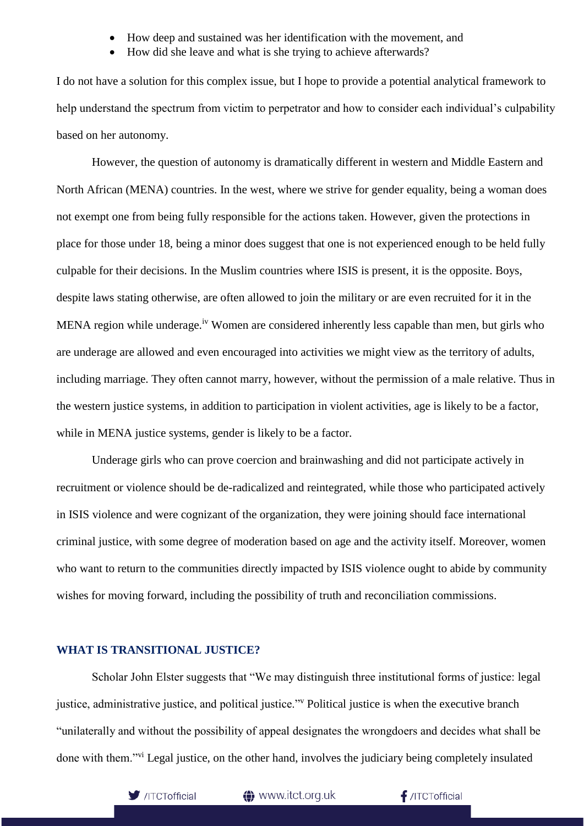- How deep and sustained was her identification with the movement, and
- How did she leave and what is she trying to achieve afterwards?

I do not have a solution for this complex issue, but I hope to provide a potential analytical framework to help understand the spectrum from victim to perpetrator and how to consider each individual's culpability based on her autonomy.

However, the question of autonomy is dramatically different in western and Middle Eastern and North African (MENA) countries. In the west, where we strive for gender equality, being a woman does not exempt one from being fully responsible for the actions taken. However, given the protections in place for those under 18, being a minor does suggest that one is not experienced enough to be held fully culpable for their decisions. In the Muslim countries where ISIS is present, it is the opposite. Boys, despite laws stating otherwise, are often allowed to join the military or are even recruited for it in the MENA region while underage.<sup>iv</sup> Women are considered inherently less capable than men, but girls who are underage are allowed and even encouraged into activities we might view as the territory of adults, including marriage. They often cannot marry, however, without the permission of a male relative. Thus in the western justice systems, in addition to participation in violent activities, age is likely to be a factor, while in MENA justice systems, gender is likely to be a factor.

Underage girls who can prove coercion and brainwashing and did not participate actively in recruitment or violence should be de-radicalized and reintegrated, while those who participated actively in ISIS violence and were cognizant of the organization, they were joining should face international criminal justice, with some degree of moderation based on age and the activity itself. Moreover, women who want to return to the communities directly impacted by ISIS violence ought to abide by community wishes for moving forward, including the possibility of truth and reconciliation commissions.

#### **WHAT IS TRANSITIONAL JUSTICE?**

Scholar John Elster suggests that "We may distinguish three institutional forms of justice: legal justice, administrative justice, and political justice."<sup>v</sup> Political justice is when the executive branch "unilaterally and without the possibility of appeal designates the wrongdoers and decides what shall be done with them."vi Legal justice, on the other hand, involves the judiciary being completely insulated



**t** www.itct.org.uk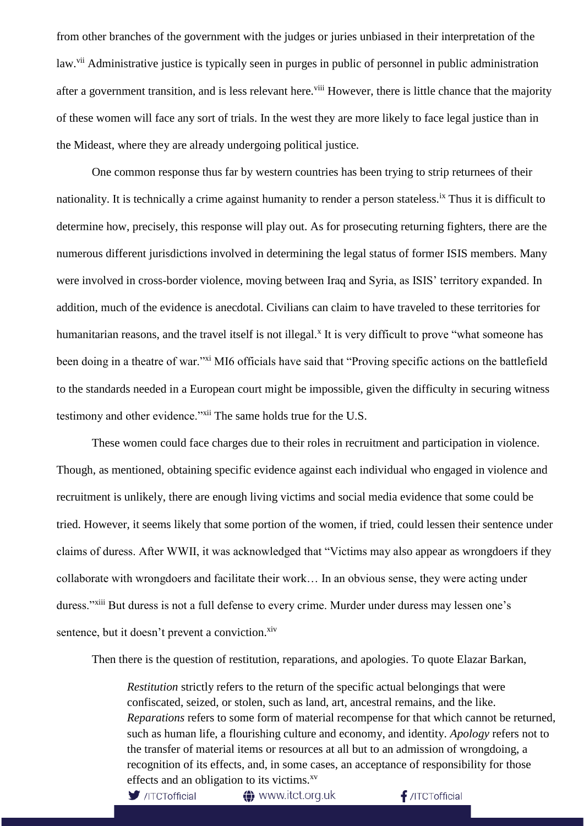from other branches of the government with the judges or juries unbiased in their interpretation of the law.<sup>vii</sup> Administrative justice is typically seen in purges in public of personnel in public administration after a government transition, and is less relevant here.<sup>viii</sup> However, there is little chance that the majority of these women will face any sort of trials. In the west they are more likely to face legal justice than in the Mideast, where they are already undergoing political justice.

One common response thus far by western countries has been trying to strip returnees of their nationality. It is technically a crime against humanity to render a person stateless.<sup>ix</sup> Thus it is difficult to determine how, precisely, this response will play out. As for prosecuting returning fighters, there are the numerous different jurisdictions involved in determining the legal status of former ISIS members. Many were involved in cross-border violence, moving between Iraq and Syria, as ISIS' territory expanded. In addition, much of the evidence is anecdotal. Civilians can claim to have traveled to these territories for humanitarian reasons, and the travel itself is not illegal.<sup>x</sup> It is very difficult to prove "what someone has been doing in a theatre of war."<sup>xi</sup> MI6 officials have said that "Proving specific actions on the battlefield to the standards needed in a European court might be impossible, given the difficulty in securing witness testimony and other evidence."<sup>xii</sup> The same holds true for the U.S.

These women could face charges due to their roles in recruitment and participation in violence. Though, as mentioned, obtaining specific evidence against each individual who engaged in violence and recruitment is unlikely, there are enough living victims and social media evidence that some could be tried. However, it seems likely that some portion of the women, if tried, could lessen their sentence under claims of duress. After WWII, it was acknowledged that "Victims may also appear as wrongdoers if they collaborate with wrongdoers and facilitate their work… In an obvious sense, they were acting under duress."<sup>xiii</sup> But duress is not a full defense to every crime. Murder under duress may lessen one's sentence, but it doesn't prevent a conviction.<sup>xiv</sup>

Then there is the question of restitution, reparations, and apologies. To quote Elazar Barkan,

*Restitution* strictly refers to the return of the specific actual belongings that were confiscated, seized, or stolen, such as land, art, ancestral remains, and the like. *Reparations* refers to some form of material recompense for that which cannot be returned, such as human life, a flourishing culture and economy, and identity. *Apology* refers not to the transfer of material items or resources at all but to an admission of wrongdoing, a recognition of its effects, and, in some cases, an acceptance of responsibility for those effects and an obligation to its victims.<sup>xv</sup>

 $\blacktriangleright$  /ITCTofficial

**4** www.itct.org.uk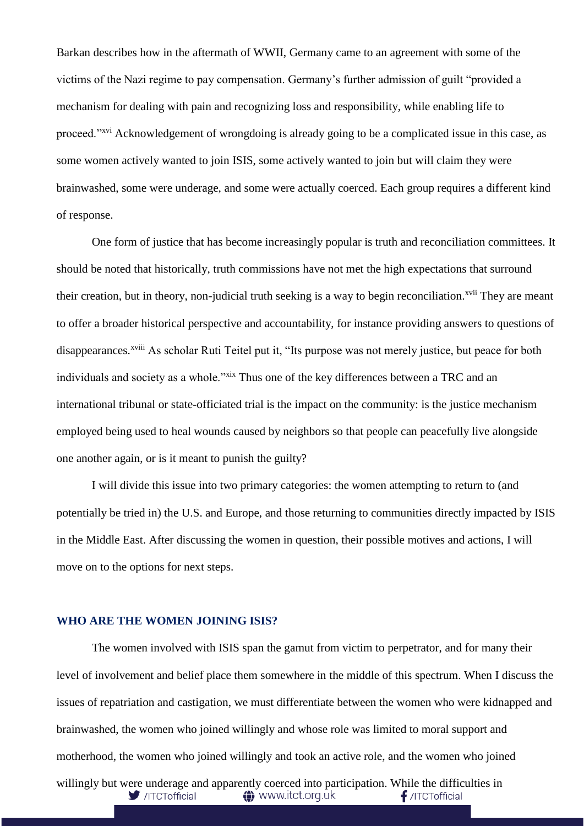Barkan describes how in the aftermath of WWII, Germany came to an agreement with some of the victims of the Nazi regime to pay compensation. Germany's further admission of guilt "provided a mechanism for dealing with pain and recognizing loss and responsibility, while enabling life to proceed."<sup>xvi</sup> Acknowledgement of wrongdoing is already going to be a complicated issue in this case, as some women actively wanted to join ISIS, some actively wanted to join but will claim they were brainwashed, some were underage, and some were actually coerced. Each group requires a different kind of response.

One form of justice that has become increasingly popular is truth and reconciliation committees. It should be noted that historically, truth commissions have not met the high expectations that surround their creation, but in theory, non-judicial truth seeking is a way to begin reconciliation.<sup>xvii</sup> They are meant to offer a broader historical perspective and accountability, for instance providing answers to questions of disappearances.<sup>xviii</sup> As scholar Ruti Teitel put it, "Its purpose was not merely justice, but peace for both individuals and society as a whole."xix Thus one of the key differences between a TRC and an international tribunal or state-officiated trial is the impact on the community: is the justice mechanism employed being used to heal wounds caused by neighbors so that people can peacefully live alongside one another again, or is it meant to punish the guilty?

I will divide this issue into two primary categories: the women attempting to return to (and potentially be tried in) the U.S. and Europe, and those returning to communities directly impacted by ISIS in the Middle East. After discussing the women in question, their possible motives and actions, I will move on to the options for next steps.

#### **WHO ARE THE WOMEN JOINING ISIS?**

The women involved with ISIS span the gamut from victim to perpetrator, and for many their level of involvement and belief place them somewhere in the middle of this spectrum. When I discuss the issues of repatriation and castigation, we must differentiate between the women who were kidnapped and brainwashed, the women who joined willingly and whose role was limited to moral support and motherhood, the women who joined willingly and took an active role, and the women who joined willingly but were underage and apparently coerced into participation. While the difficulties in<br>  $\bullet$  //ITCTofficial<br>  $\bullet$  //ITCTofficial<br>  $\bullet$  /ITCTofficial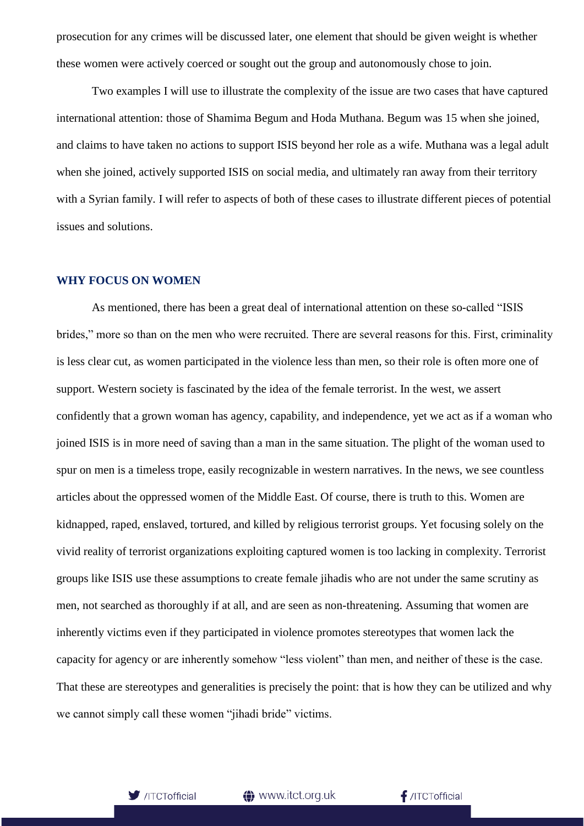prosecution for any crimes will be discussed later, one element that should be given weight is whether these women were actively coerced or sought out the group and autonomously chose to join.

Two examples I will use to illustrate the complexity of the issue are two cases that have captured international attention: those of Shamima Begum and Hoda Muthana. Begum was 15 when she joined, and claims to have taken no actions to support ISIS beyond her role as a wife. Muthana was a legal adult when she joined, actively supported ISIS on social media, and ultimately ran away from their territory with a Syrian family. I will refer to aspects of both of these cases to illustrate different pieces of potential issues and solutions.

#### **WHY FOCUS ON WOMEN**

As mentioned, there has been a great deal of international attention on these so-called "ISIS brides," more so than on the men who were recruited. There are several reasons for this. First, criminality is less clear cut, as women participated in the violence less than men, so their role is often more one of support. Western society is fascinated by the idea of the female terrorist. In the west, we assert confidently that a grown woman has agency, capability, and independence, yet we act as if a woman who joined ISIS is in more need of saving than a man in the same situation. The plight of the woman used to spur on men is a timeless trope, easily recognizable in western narratives. In the news, we see countless articles about the oppressed women of the Middle East. Of course, there is truth to this. Women are kidnapped, raped, enslaved, tortured, and killed by religious terrorist groups. Yet focusing solely on the vivid reality of terrorist organizations exploiting captured women is too lacking in complexity. Terrorist groups like ISIS use these assumptions to create female jihadis who are not under the same scrutiny as men, not searched as thoroughly if at all, and are seen as non-threatening. Assuming that women are inherently victims even if they participated in violence promotes stereotypes that women lack the capacity for agency or are inherently somehow "less violent" than men, and neither of these is the case. That these are stereotypes and generalities is precisely the point: that is how they can be utilized and why we cannot simply call these women "jihadi bride" victims.



www.itct.org.uk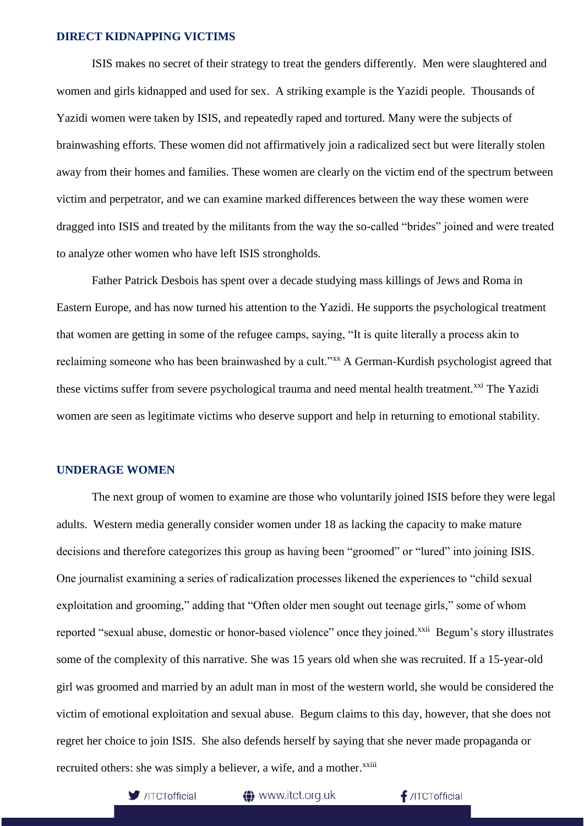## **DIRECT KIDNAPPING VICTIMS**

ISIS makes no secret of their strategy to treat the genders differently. Men were slaughtered and women and girls kidnapped and used for sex. A striking example is the Yazidi people. Thousands of Yazidi women were taken by ISIS, and repeatedly raped and tortured. Many were the subjects of brainwashing efforts. These women did not affirmatively join a radicalized sect but were literally stolen away from their homes and families. These women are clearly on the victim end of the spectrum between victim and perpetrator, and we can examine marked differences between the way these women were dragged into ISIS and treated by the militants from the way the so-called "brides" joined and were treated to analyze other women who have left ISIS strongholds.

Father Patrick Desbois has spent over a decade studying mass killings of Jews and Roma in Eastern Europe, and has now turned his attention to the Yazidi. He supports the psychological treatment that women are getting in some of the refugee camps, saying, "It is quite literally a process akin to reclaiming someone who has been brainwashed by a cult."xx A German-Kurdish psychologist agreed that these victims suffer from severe psychological trauma and need mental health treatment.<sup>xxi</sup> The Yazidi women are seen as legitimate victims who deserve support and help in returning to emotional stability.

#### **UNDERAGE WOMEN**

The next group of women to examine are those who voluntarily joined ISIS before they were legal adults. Western media generally consider women under 18 as lacking the capacity to make mature decisions and therefore categorizes this group as having been "groomed" or "lured" into joining ISIS. One journalist examining a series of radicalization processes likened the experiences to "child sexual exploitation and grooming," adding that "Often older men sought out teenage girls," some of whom reported "sexual abuse, domestic or honor-based violence" once they joined.<sup>xxii</sup> Begum's story illustrates some of the complexity of this narrative. She was 15 years old when she was recruited. If a 15-year-old girl was groomed and married by an adult man in most of the western world, she would be considered the victim of emotional exploitation and sexual abuse. Begum claims to this day, however, that she does not regret her choice to join ISIS. She also defends herself by saying that she never made propaganda or recruited others: she was simply a believer, a wife, and a mother.<sup>xxiii</sup>



to www.itct.org.uk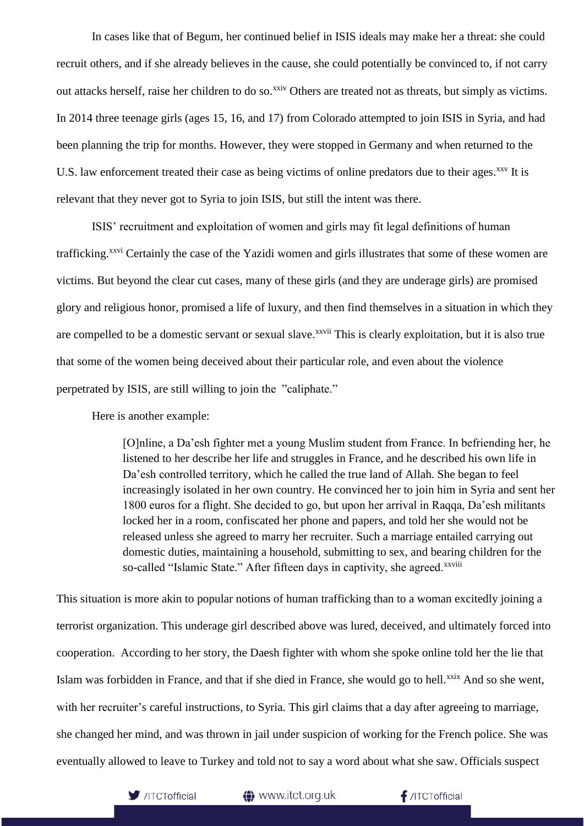In cases like that of Begum, her continued belief in ISIS ideals may make her a threat: she could recruit others, and if she already believes in the cause, she could potentially be convinced to, if not carry out attacks herself, raise her children to do so.<sup>xxiv</sup> Others are treated not as threats, but simply as victims. In 2014 three teenage girls (ages 15, 16, and 17) from Colorado attempted to join ISIS in Syria, and had been planning the trip for months. However, they were stopped in Germany and when returned to the U.S. law enforcement treated their case as being victims of online predators due to their ages.<sup>xxv</sup> It is relevant that they never got to Syria to join ISIS, but still the intent was there.

ISIS' recruitment and exploitation of women and girls may fit legal definitions of human trafficking.<sup>xxvi</sup> Certainly the case of the Yazidi women and girls illustrates that some of these women are victims. But beyond the clear cut cases, many of these girls (and they are underage girls) are promised glory and religious honor, promised a life of luxury, and then find themselves in a situation in which they are compelled to be a domestic servant or sexual slave.<sup>xxvii</sup> This is clearly exploitation, but it is also true that some of the women being deceived about their particular role, and even about the violence perpetrated by ISIS, are still willing to join the "caliphate."

Here is another example:

[O]nline, a Da'esh fighter met a young Muslim student from France. In befriending her, he listened to her describe her life and struggles in France, and he described his own life in Da'esh controlled territory, which he called the true land of Allah. She began to feel increasingly isolated in her own country. He convinced her to join him in Syria and sent her 1800 euros for a flight. She decided to go, but upon her arrival in Raqqa, Da'esh militants locked her in a room, confiscated her phone and papers, and told her she would not be released unless she agreed to marry her recruiter. Such a marriage entailed carrying out domestic duties, maintaining a household, submitting to sex, and bearing children for the so-called "Islamic State." After fifteen days in captivity, she agreed.<sup>xxviii</sup>

This situation is more akin to popular notions of human trafficking than to a woman excitedly joining a terrorist organization. This underage girl described above was lured, deceived, and ultimately forced into cooperation. According to her story, the Daesh fighter with whom she spoke online told her the lie that Islam was forbidden in France, and that if she died in France, she would go to hell.<sup>xxix</sup> And so she went, with her recruiter's careful instructions, to Syria. This girl claims that a day after agreeing to marriage, she changed her mind, and was thrown in jail under suspicion of working for the French police. She was eventually allowed to leave to Turkey and told not to say a word about what she saw. Officials suspect



**4** www.itct.org.uk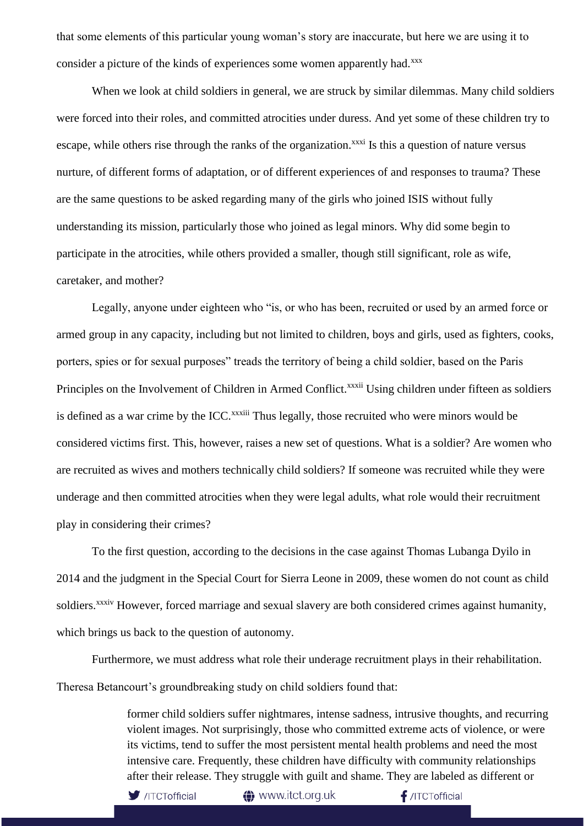that some elements of this particular young woman's story are inaccurate, but here we are using it to consider a picture of the kinds of experiences some women apparently had.<sup>xxx</sup>

When we look at child soldiers in general, we are struck by similar dilemmas. Many child soldiers were forced into their roles, and committed atrocities under duress. And yet some of these children try to escape, while others rise through the ranks of the organization.<sup>xxxi</sup> Is this a question of nature versus nurture, of different forms of adaptation, or of different experiences of and responses to trauma? These are the same questions to be asked regarding many of the girls who joined ISIS without fully understanding its mission, particularly those who joined as legal minors. Why did some begin to participate in the atrocities, while others provided a smaller, though still significant, role as wife, caretaker, and mother?

Legally, anyone under eighteen who "is, or who has been, recruited or used by an armed force or armed group in any capacity, including but not limited to children, boys and girls, used as fighters, cooks, porters, spies or for sexual purposes" treads the territory of being a child soldier, based on the Paris Principles on the Involvement of Children in Armed Conflict.<sup>xxxii</sup> Using children under fifteen as soldiers is defined as a war crime by the ICC.<sup>xxxiii</sup> Thus legally, those recruited who were minors would be considered victims first. This, however, raises a new set of questions. What is a soldier? Are women who are recruited as wives and mothers technically child soldiers? If someone was recruited while they were underage and then committed atrocities when they were legal adults, what role would their recruitment play in considering their crimes?

To the first question, according to the decisions in the case against Thomas Lubanga Dyilo in 2014 and the judgment in the Special Court for Sierra Leone in 2009, these women do not count as child soldiers.<sup>xxxiv</sup> However, forced marriage and sexual slavery are both considered crimes against humanity, which brings us back to the question of autonomy.

Furthermore, we must address what role their underage recruitment plays in their rehabilitation. Theresa Betancourt's groundbreaking study on child soldiers found that:

> former child soldiers suffer nightmares, intense sadness, intrusive thoughts, and recurring violent images. Not surprisingly, those who committed extreme acts of violence, or were its victims, tend to suffer the most persistent mental health problems and need the most intensive care. Frequently, these children have difficulty with community relationships after their release. They struggle with guilt and shame. They are labeled as different or



to www.itct.org.uk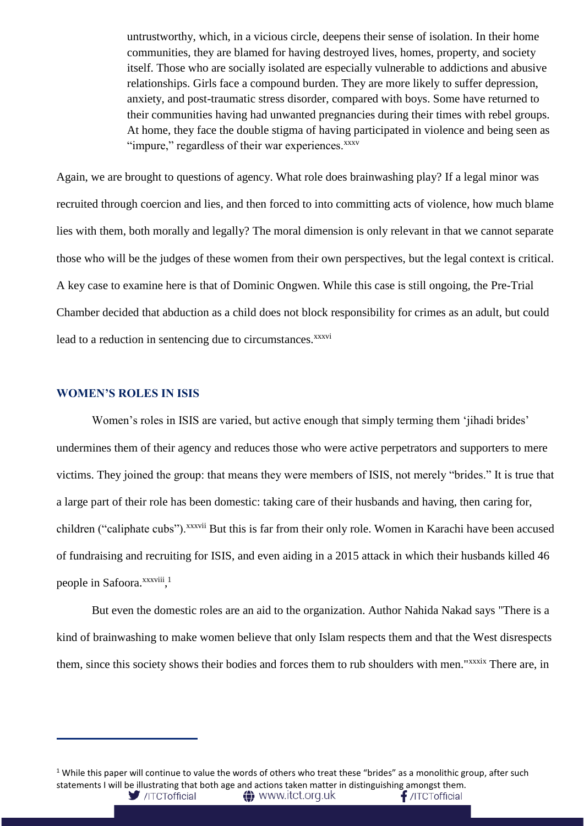untrustworthy, which, in a vicious circle, deepens their sense of isolation. In their home communities, they are blamed for having destroyed lives, homes, property, and society itself. Those who are socially isolated are especially vulnerable to addictions and abusive relationships. Girls face a compound burden. They are more likely to suffer depression, anxiety, and post-traumatic stress disorder, compared with boys. Some have returned to their communities having had unwanted pregnancies during their times with rebel groups. At home, they face the double stigma of having participated in violence and being seen as "impure," regardless of their war experiences.<sup>xxxv</sup>

Again, we are brought to questions of agency. What role does brainwashing play? If a legal minor was recruited through coercion and lies, and then forced to into committing acts of violence, how much blame lies with them, both morally and legally? The moral dimension is only relevant in that we cannot separate those who will be the judges of these women from their own perspectives, but the legal context is critical. A key case to examine here is that of Dominic Ongwen. While this case is still ongoing, the Pre-Trial Chamber decided that abduction as a child does not block responsibility for crimes as an adult, but could lead to a reduction in sentencing due to circumstances.<sup>xxxvi</sup>

#### **WOMEN'S ROLES IN ISIS**

Women's roles in ISIS are varied, but active enough that simply terming them 'jihadi brides' undermines them of their agency and reduces those who were active perpetrators and supporters to mere victims. They joined the group: that means they were members of ISIS, not merely "brides." It is true that a large part of their role has been domestic: taking care of their husbands and having, then caring for, children ("caliphate cubs"). XXXVii But this is far from their only role. Women in Karachi have been accused of fundraising and recruiting for ISIS, and even aiding in a 2015 attack in which their husbands killed 46 people in Safoora. xxxviii, 1

But even the domestic roles are an aid to the organization. Author Nahida Nakad says "There is a kind of brainwashing to make women believe that only Islam respects them and that the West disrespects them, since this society shows their bodies and forces them to rub shoulders with men."<sup>xxxix</sup> There are, in

<sup>1</sup> While this paper will continue to value the words of others who treat these "brides" as a monolithic group, after such statements I will be illustrating that both age and actions taken matter in distinguishing amongst them./ITCTofficial **←** www.itct.org.uk  $\blacksquare$  /ITCTofficial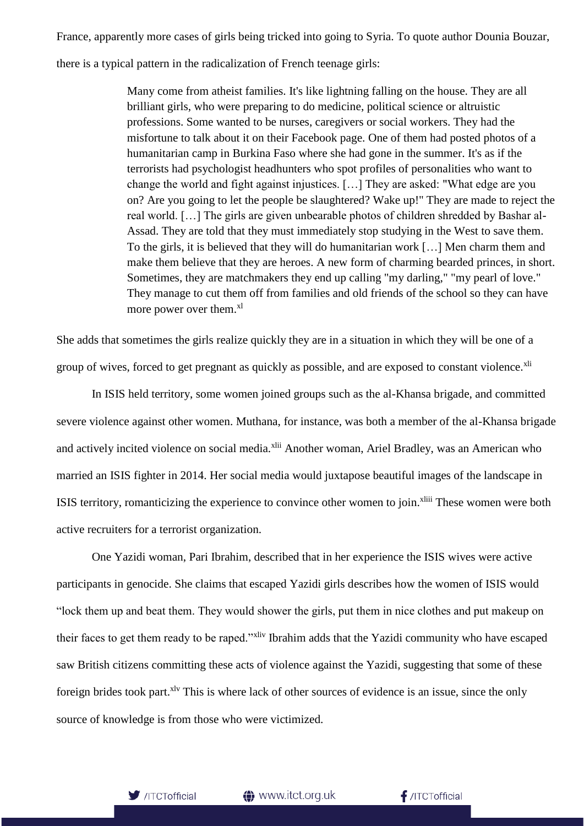France, apparently more cases of girls being tricked into going to Syria. To quote author Dounia Bouzar,

there is a typical pattern in the radicalization of French teenage girls:

Many come from atheist families. It's like lightning falling on the house. They are all brilliant girls, who were preparing to do medicine, political science or altruistic professions. Some wanted to be nurses, caregivers or social workers. They had the misfortune to talk about it on their Facebook page. One of them had posted photos of a humanitarian camp in Burkina Faso where she had gone in the summer. It's as if the terrorists had psychologist headhunters who spot profiles of personalities who want to change the world and fight against injustices. […] They are asked: "What edge are you on? Are you going to let the people be slaughtered? Wake up!" They are made to reject the real world. […] The girls are given unbearable photos of children shredded by Bashar al-Assad. They are told that they must immediately stop studying in the West to save them. To the girls, it is believed that they will do humanitarian work […] Men charm them and make them believe that they are heroes. A new form of charming bearded princes, in short. Sometimes, they are matchmakers they end up calling "my darling," "my pearl of love." They manage to cut them off from families and old friends of the school so they can have more power over them.<sup>xl</sup>

She adds that sometimes the girls realize quickly they are in a situation in which they will be one of a group of wives, forced to get pregnant as quickly as possible, and are exposed to constant violence.<sup>xli</sup>

In ISIS held territory, some women joined groups such as the al-Khansa brigade, and committed severe violence against other women. Muthana, for instance, was both a member of the al-Khansa brigade and actively incited violence on social media.<sup>xlii</sup> Another woman, Ariel Bradley, was an American who married an ISIS fighter in 2014. Her social media would juxtapose beautiful images of the landscape in ISIS territory, romanticizing the experience to convince other women to join.<sup>xliii</sup> These women were both active recruiters for a terrorist organization.

One Yazidi woman, Pari Ibrahim, described that in her experience the ISIS wives were active participants in genocide. She claims that escaped Yazidi girls describes how the women of ISIS would "lock them up and beat them. They would shower the girls, put them in nice clothes and put makeup on their faces to get them ready to be raped."<sup>xliv</sup> Ibrahim adds that the Yazidi community who have escaped saw British citizens committing these acts of violence against the Yazidi, suggesting that some of these foreign brides took part.<sup>xlv</sup> This is where lack of other sources of evidence is an issue, since the only source of knowledge is from those who were victimized.

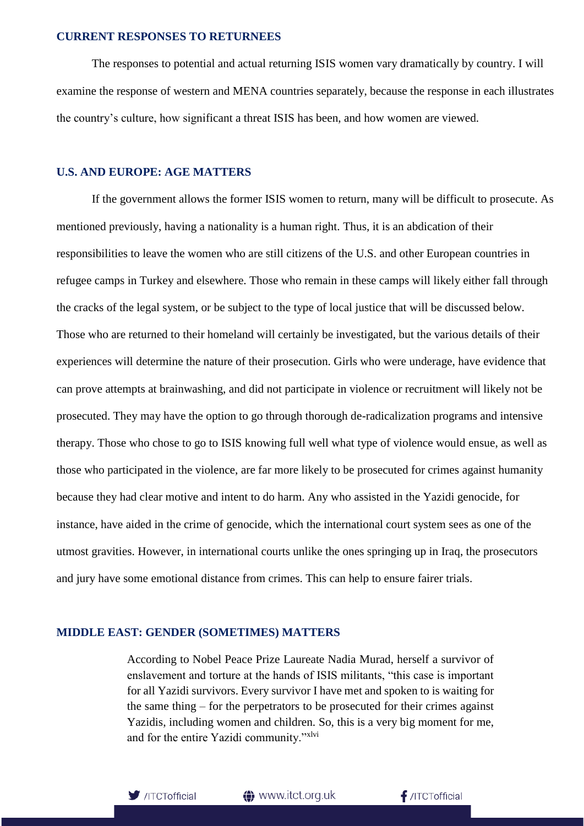#### **CURRENT RESPONSES TO RETURNEES**

The responses to potential and actual returning ISIS women vary dramatically by country. I will examine the response of western and MENA countries separately, because the response in each illustrates the country's culture, how significant a threat ISIS has been, and how women are viewed.

#### **U.S. AND EUROPE: AGE MATTERS**

If the government allows the former ISIS women to return, many will be difficult to prosecute. As mentioned previously, having a nationality is a human right. Thus, it is an abdication of their responsibilities to leave the women who are still citizens of the U.S. and other European countries in refugee camps in Turkey and elsewhere. Those who remain in these camps will likely either fall through the cracks of the legal system, or be subject to the type of local justice that will be discussed below. Those who are returned to their homeland will certainly be investigated, but the various details of their experiences will determine the nature of their prosecution. Girls who were underage, have evidence that can prove attempts at brainwashing, and did not participate in violence or recruitment will likely not be prosecuted. They may have the option to go through thorough de-radicalization programs and intensive therapy. Those who chose to go to ISIS knowing full well what type of violence would ensue, as well as those who participated in the violence, are far more likely to be prosecuted for crimes against humanity because they had clear motive and intent to do harm. Any who assisted in the Yazidi genocide, for instance, have aided in the crime of genocide, which the international court system sees as one of the utmost gravities. However, in international courts unlike the ones springing up in Iraq, the prosecutors and jury have some emotional distance from crimes. This can help to ensure fairer trials.

#### **MIDDLE EAST: GENDER (SOMETIMES) MATTERS**

According to Nobel Peace Prize Laureate Nadia Murad, herself a survivor of enslavement and torture at the hands of ISIS militants, "this case is important for all Yazidi survivors. Every survivor I have met and spoken to is waiting for the same thing – for the perpetrators to be prosecuted for their crimes against Yazidis, including women and children. So, this is a very big moment for me, and for the entire Yazidi community."xlvi



**1** www.itct.org.uk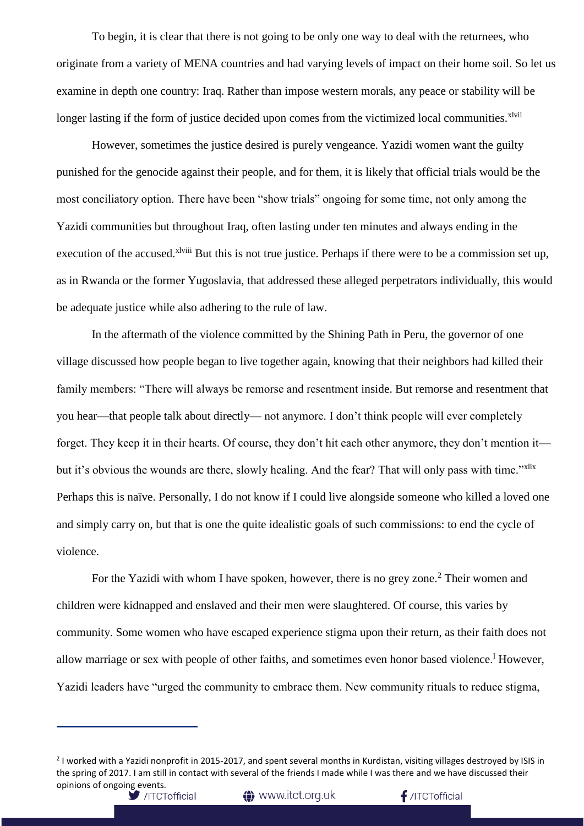To begin, it is clear that there is not going to be only one way to deal with the returnees, who originate from a variety of MENA countries and had varying levels of impact on their home soil. So let us examine in depth one country: Iraq. Rather than impose western morals, any peace or stability will be longer lasting if the form of justice decided upon comes from the victimized local communities.<sup>xlvii</sup>

However, sometimes the justice desired is purely vengeance. Yazidi women want the guilty punished for the genocide against their people, and for them, it is likely that official trials would be the most conciliatory option. There have been "show trials" ongoing for some time, not only among the Yazidi communities but throughout Iraq, often lasting under ten minutes and always ending in the execution of the accused.<sup>xlviii</sup> But this is not true justice. Perhaps if there were to be a commission set up, as in Rwanda or the former Yugoslavia, that addressed these alleged perpetrators individually, this would be adequate justice while also adhering to the rule of law.

In the aftermath of the violence committed by the Shining Path in Peru, the governor of one village discussed how people began to live together again, knowing that their neighbors had killed their family members: "There will always be remorse and resentment inside. But remorse and resentment that you hear—that people talk about directly— not anymore. I don't think people will ever completely forget. They keep it in their hearts. Of course, they don't hit each other anymore, they don't mention it but it's obvious the wounds are there, slowly healing. And the fear? That will only pass with time."<sup>xlix</sup> Perhaps this is naïve. Personally, I do not know if I could live alongside someone who killed a loved one and simply carry on, but that is one the quite idealistic goals of such commissions: to end the cycle of violence.

For the Yazidi with whom I have spoken, however, there is no grey zone.<sup>2</sup> Their women and children were kidnapped and enslaved and their men were slaughtered. Of course, this varies by community. Some women who have escaped experience stigma upon their return, as their faith does not allow marriage or sex with people of other faiths, and sometimes even honor based violence.<sup>1</sup> However, Yazidi leaders have "urged the community to embrace them. New community rituals to reduce stigma,

**t** www.itct.org.uk

<sup>&</sup>lt;sup>2</sup> I worked with a Yazidi nonprofit in 2015-2017, and spent several months in Kurdistan, visiting villages destroyed by ISIS in the spring of 2017. I am still in contact with several of the friends I made while I was there and we have discussed their opinions of ongoing events.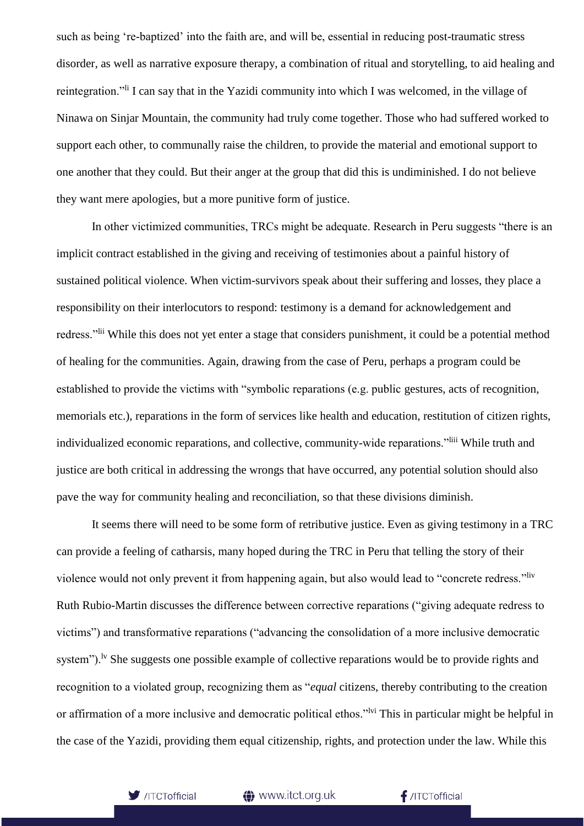such as being 're-baptized' into the faith are, and will be, essential in reducing post-traumatic stress disorder, as well as narrative exposure therapy, a combination of ritual and storytelling, to aid healing and reintegration." I can say that in the Yazidi community into which I was welcomed, in the village of Ninawa on Sinjar Mountain, the community had truly come together. Those who had suffered worked to support each other, to communally raise the children, to provide the material and emotional support to one another that they could. But their anger at the group that did this is undiminished. I do not believe they want mere apologies, but a more punitive form of justice.

In other victimized communities, TRCs might be adequate. Research in Peru suggests "there is an implicit contract established in the giving and receiving of testimonies about a painful history of sustained political violence. When victim-survivors speak about their suffering and losses, they place a responsibility on their interlocutors to respond: testimony is a demand for acknowledgement and redress."lii While this does not yet enter a stage that considers punishment, it could be a potential method of healing for the communities. Again, drawing from the case of Peru, perhaps a program could be established to provide the victims with "symbolic reparations (e.g. public gestures, acts of recognition, memorials etc.), reparations in the form of services like health and education, restitution of citizen rights, individualized economic reparations, and collective, community-wide reparations."<sup>liii</sup> While truth and justice are both critical in addressing the wrongs that have occurred, any potential solution should also pave the way for community healing and reconciliation, so that these divisions diminish.

It seems there will need to be some form of retributive justice. Even as giving testimony in a TRC can provide a feeling of catharsis, many hoped during the TRC in Peru that telling the story of their violence would not only prevent it from happening again, but also would lead to "concrete redress."liv Ruth Rubio-Martin discusses the difference between corrective reparations ("giving adequate redress to victims") and transformative reparations ("advancing the consolidation of a more inclusive democratic system").<sup>1v</sup> She suggests one possible example of collective reparations would be to provide rights and recognition to a violated group, recognizing them as "*equal* citizens, thereby contributing to the creation or affirmation of a more inclusive and democratic political ethos."<sup>Ivi</sup> This in particular might be helpful in the case of the Yazidi, providing them equal citizenship, rights, and protection under the law. While this



#### **t** www.itct.org.uk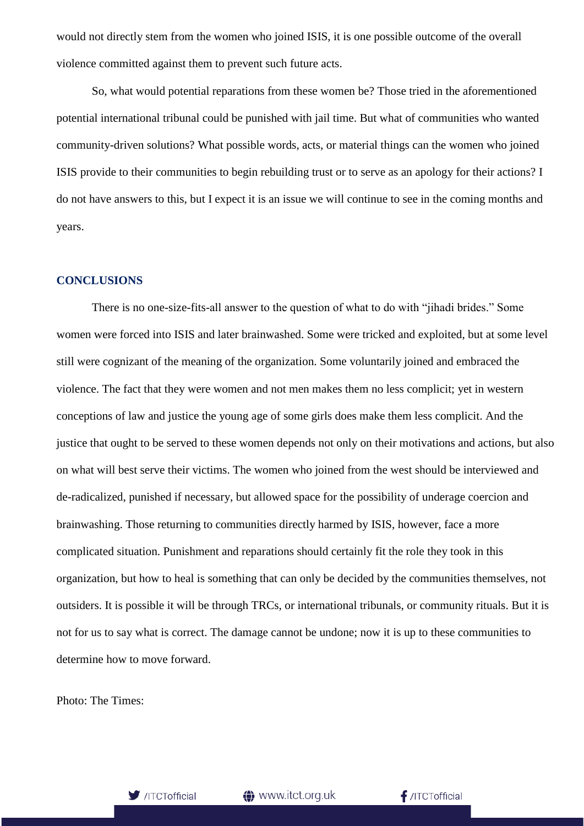would not directly stem from the women who joined ISIS, it is one possible outcome of the overall violence committed against them to prevent such future acts.

So, what would potential reparations from these women be? Those tried in the aforementioned potential international tribunal could be punished with jail time. But what of communities who wanted community-driven solutions? What possible words, acts, or material things can the women who joined ISIS provide to their communities to begin rebuilding trust or to serve as an apology for their actions? I do not have answers to this, but I expect it is an issue we will continue to see in the coming months and years.

#### **CONCLUSIONS**

There is no one-size-fits-all answer to the question of what to do with "jihadi brides." Some women were forced into ISIS and later brainwashed. Some were tricked and exploited, but at some level still were cognizant of the meaning of the organization. Some voluntarily joined and embraced the violence. The fact that they were women and not men makes them no less complicit; yet in western conceptions of law and justice the young age of some girls does make them less complicit. And the justice that ought to be served to these women depends not only on their motivations and actions, but also on what will best serve their victims. The women who joined from the west should be interviewed and de-radicalized, punished if necessary, but allowed space for the possibility of underage coercion and brainwashing. Those returning to communities directly harmed by ISIS, however, face a more complicated situation. Punishment and reparations should certainly fit the role they took in this organization, but how to heal is something that can only be decided by the communities themselves, not outsiders. It is possible it will be through TRCs, or international tribunals, or community rituals. But it is not for us to say what is correct. The damage cannot be undone; now it is up to these communities to determine how to move forward.

Photo: The Times:

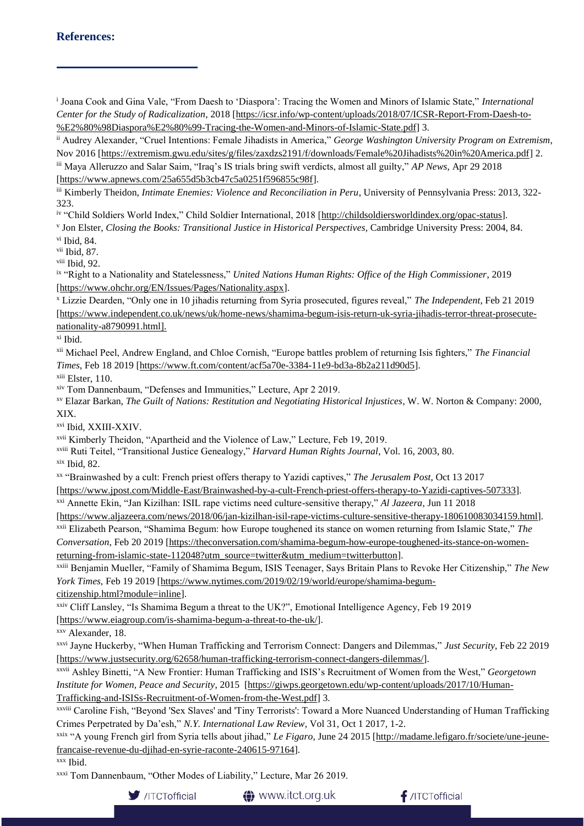## **References:**

i Joana Cook and Gina Vale, "From Daesh to 'Diaspora': Tracing the Women and Minors of Islamic State," *International Center for the Study of Radicalization*, 2018 [\[https://icsr.info/wp-content/uploads/2018/07/ICSR-Report-From-Daesh-to-](https://icsr.info/wp-content/uploads/2018/07/ICSR-Report-From-Daesh-to-%E2%80%98Diaspora%E2%80%99-Tracing-the-Women-and-Minors-of-Islamic-State.pdf) [%E2%80%98Diaspora%E2%80%99-Tracing-the-Women-and-Minors-of-Islamic-State.pdf\]](https://icsr.info/wp-content/uploads/2018/07/ICSR-Report-From-Daesh-to-%E2%80%98Diaspora%E2%80%99-Tracing-the-Women-and-Minors-of-Islamic-State.pdf) 3.

ii Audrey Alexander, "Cruel Intentions: Female Jihadists in America," *George Washington University Program on Extremism*, Nov 2016 [\[https://extremism.gwu.edu/sites/g/files/zaxdzs2191/f/downloads/Female%20Jihadists%20in%20America.pdf\]](https://extremism.gwu.edu/sites/g/files/zaxdzs2191/f/downloads/Female%20Jihadists%20in%20America.pdf) 2. iii Maya Alleruzzo and Salar Saim, "Iraq's IS trials bring swift verdicts, almost all guilty," *AP News*, Apr 29 2018 [\[https://www.apnews.com/25a655d5b3cb47c5a0251f596855c98f\]](https://www.apnews.com/25a655d5b3cb47c5a0251f596855c98f).

iii Kimberly Theidon, *Intimate Enemies: Violence and Reconciliation in Peru*, University of Pennsylvania Press: 2013, 322- 323.

iv "Child Soldiers World Index," Child Soldier International, 2018 [\[http://childsoldiersworldindex.org/opac-status\]](http://childsoldiersworldindex.org/opac-status).

v Jon Elster, *Closing the Books: Transitional Justice in Historical Perspectives,* Cambridge University Press: 2004, 84.

vi Ibid, 84.

vii Ibid, 87.

viii Ibid, 92.

ix "Right to a Nationality and Statelessness," *United Nations Human Rights: Office of the High Commissioner*, 2019 [\[https://www.ohchr.org/EN/Issues/Pages/Nationality.aspx\]](https://www.ohchr.org/EN/Issues/Pages/Nationality.aspx).

<sup>x</sup> Lizzie Dearden, "Only one in 10 jihadis returning from Syria prosecuted, figures reveal," *The Independent*, Feb 21 2019 [\[https://www.independent.co.uk/news/uk/home-news/shamima-begum-isis-return-uk-syria-jihadis-terror-threat-prosecute](https://www.independent.co.uk/news/uk/home-news/shamima-begum-isis-return-uk-syria-jihadis-terror-threat-prosecute-nationality-a8790991.html)[nationality-a8790991.html\]](https://www.independent.co.uk/news/uk/home-news/shamima-begum-isis-return-uk-syria-jihadis-terror-threat-prosecute-nationality-a8790991.html).

xi Ibid.

xii Michael Peel, Andrew England, and Chloe Cornish, "Europe battles problem of returning Isis fighters," *The Financial Times*, Feb 18 2019 [\[https://www.ft.com/content/acf5a70e-3384-11e9-bd3a-8b2a211d90d5\]](https://www.ft.com/content/acf5a70e-3384-11e9-bd3a-8b2a211d90d5).

xiii Elster, 110.

xiv Tom Dannenbaum, "Defenses and Immunities," Lecture, Apr 2 2019.

xv Elazar Barkan, *The Guilt of Nations: Restitution and Negotiating Historical Injustices*, W. W. Norton & Company: 2000, XIX.

xvi Ibid, XXIII-XXIV.

xvii Kimberly Theidon, "Apartheid and the Violence of Law," Lecture, Feb 19, 2019.

xviii Ruti Teitel, "Transitional Justice Genealogy," *Harvard Human Rights Journal*, Vol. 16, 2003, 80.

 $x$ ix Ibid, 82.

xx "Brainwashed by a cult: French priest offers therapy to Yazidi captives," *The Jerusalem Post*, Oct 13 2017

[\[https://www.jpost.com/Middle-East/Brainwashed-by-a-cult-French-priest-offers-therapy-to-Yazidi-captives-507333\]](https://www.jpost.com/Middle-East/Brainwashed-by-a-cult-French-priest-offers-therapy-to-Yazidi-captives-507333).

xxi Annette Ekin, "Jan Kizilhan: ISIL rape victims need culture-sensitive therapy," *Al Jazeera*, Jun 11 2018

[\[https://www.aljazeera.com/news/2018/06/jan-kizilhan-isil-rape-victims-culture-sensitive-therapy-180610083034159.html\]](https://www.aljazeera.com/news/2018/06/jan-kizilhan-isil-rape-victims-culture-sensitive-therapy-180610083034159.html).

xxii Elizabeth Pearson, "Shamima Begum: how Europe toughened its stance on women returning from Islamic State," *The Conversation*, Feb 20 2019 [\[https://theconversation.com/shamima-begum-how-europe-toughened-its-stance-on-women](https://theconversation.com/shamima-begum-how-europe-toughened-its-stance-on-women-returning-from-islamic-state-112048?utm_source=twitter&utm_medium=twitterbutton)[returning-from-islamic-state-112048?utm\\_source=twitter&utm\\_medium=twitterbutton\]](https://theconversation.com/shamima-begum-how-europe-toughened-its-stance-on-women-returning-from-islamic-state-112048?utm_source=twitter&utm_medium=twitterbutton).

xxiii Benjamin Mueller, "Family of Shamima Begum, ISIS Teenager, Says Britain Plans to Revoke Her Citizenship," *The New York Times,* Feb 19 2019 [\[https://www.nytimes.com/2019/02/19/world/europe/shamima-begum-](https://www.nytimes.com/2019/02/19/world/europe/shamima-begum-citizenship.html?module=inline)

[citizenship.html?module=inline\]](https://www.nytimes.com/2019/02/19/world/europe/shamima-begum-citizenship.html?module=inline).

xxiv Cliff Lansley, "Is Shamima Begum a threat to the UK?", Emotional Intelligence Agency, Feb 19 2019

[\[https://www.eiagroup.com/is-shamima-begum-a-threat-to-the-uk/\]](https://www.eiagroup.com/is-shamima-begum-a-threat-to-the-uk/).

xxv Alexander, 18.

xxvi Jayne Huckerby, "When Human Trafficking and Terrorism Connect: Dangers and Dilemmas," *Just Security*, Feb 22 2019 [\[https://www.justsecurity.org/62658/human-trafficking-terrorism-connect-dangers-dilemmas/\]](https://www.justsecurity.org/62658/human-trafficking-terrorism-connect-dangers-dilemmas/).

xxvii Ashley Binetti, "A New Frontier: Human Trafficking and ISIS's Recruitment of Women from the West," *Georgetown Institute for Women, Peace and Security*, 2015 [\[https://giwps.georgetown.edu/wp-content/uploads/2017/10/Human-](https://giwps.georgetown.edu/wp-content/uploads/2017/10/Human-Trafficking-and-ISISs-Recruitment-of-Women-from-the-West.pdf)[Trafficking-and-ISISs-Recruitment-of-Women-from-the-West.pdf\]](https://giwps.georgetown.edu/wp-content/uploads/2017/10/Human-Trafficking-and-ISISs-Recruitment-of-Women-from-the-West.pdf) 3.

xxviii Caroline Fish, "Beyond 'Sex Slaves' and 'Tiny Terrorists': Toward a More Nuanced Understanding of Human Trafficking Crimes Perpetrated by Da'esh," *N.Y. International Law Review*, Vol 31, Oct 1 2017, 1-2.

xxix "A young French girl from Syria tells about jihad," *Le Figaro*, June 24 2015 [\[http://madame.lefigaro.fr/societe/une-jeune](http://madame.lefigaro.fr/societe/une-jeune-francaise-revenue-du-djihad-en-syrie-raconte-240615-97164)[francaise-revenue-du-djihad-en-syrie-raconte-240615-97164\]](http://madame.lefigaro.fr/societe/une-jeune-francaise-revenue-du-djihad-en-syrie-raconte-240615-97164).

xxx Ibid.

xxxi Tom Dannenbaum, "Other Modes of Liability," Lecture, Mar 26 2019.



**1** www.itct.org.uk

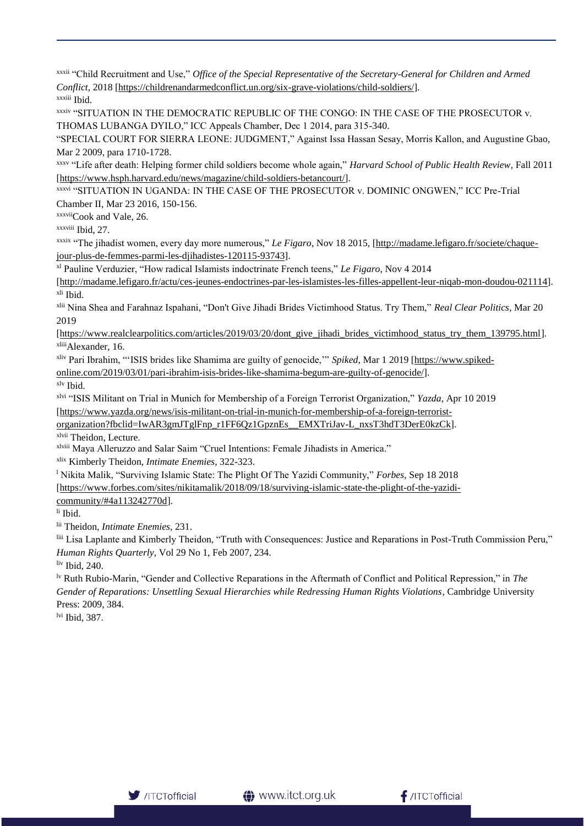xxxii "Child Recruitment and Use," *Office of the Special Representative of the Secretary-General for Children and Armed Conflict,* 2018 [\[https://childrenandarmedconflict.un.org/six-grave-violations/child-soldiers/\]](https://childrenandarmedconflict.un.org/six-grave-violations/child-soldiers/). xxxiii Ibid.

xxxiv "SITUATION IN THE DEMOCRATIC REPUBLIC OF THE CONGO: IN THE CASE OF THE PROSECUTOR v. THOMAS LUBANGA DYILO," ICC Appeals Chamber, Dec 1 2014, para 315-340.

"SPECIAL COURT FOR SIERRA LEONE: JUDGMENT," Against Issa Hassan Sesay, Morris Kallon, and Augustine Gbao, Mar 2 2009, para 1710-1728.

xxxv "Life after death: Helping former child soldiers become whole again," *Harvard School of Public Health Review*, Fall 2011 [\[https://www.hsph.harvard.edu/news/magazine/child-soldiers-betancourt/\]](https://www.hsph.harvard.edu/news/magazine/child-soldiers-betancourt/).

xxxvi "SITUATION IN UGANDA: IN THE CASE OF THE PROSECUTOR v. DOMINIC ONGWEN," ICC Pre-Trial Chamber II, Mar 23 2016, 150-156.

xxxviiCook and Vale, 26.

xxxviii Ibid, 27.

xxxix "The jihadist women, every day more numerous," *Le Figaro*, Nov 18 2015, [\[http://madame.lefigaro.fr/societe/chaque](http://madame.lefigaro.fr/societe/chaque-jour-plus-de-femmes-parmi-les-djihadistes-120115-93743)[jour-plus-de-femmes-parmi-les-djihadistes-120115-93743\]](http://madame.lefigaro.fr/societe/chaque-jour-plus-de-femmes-parmi-les-djihadistes-120115-93743).

xl Pauline Verduzier, "How radical Islamists indoctrinate French teens," *Le Figaro*, Nov 4 2014

[\[http://madame.lefigaro.fr/actu/ces-jeunes-endoctrines-par-les-islamistes-les-filles-appellent-leur-niqab-mon-doudou-021114\]](http://madame.lefigaro.fr/actu/ces-jeunes-endoctrines-par-les-islamistes-les-filles-appellent-leur-niqab-mon-doudou-021114). xli Ibid.

xlii Nina Shea and Farahnaz Ispahani, "Don't Give Jihadi Brides Victimhood Status. Try Them," *Real Clear Politics*, Mar 20 2019

[\[https://www.realclearpolitics.com/articles/2019/03/20/dont\\_give\\_jihadi\\_brides\\_victimhood\\_status\\_try\\_them\\_139795.html\]](https://www.realclearpolitics.com/articles/2019/03/20/dont_give_jihadi_brides_victimhood_status_try_them_139795.html). xliiiAlexander, 16.

xliv Pari Ibrahim, "'ISIS brides like Shamima are guilty of genocide,'" *Spiked*, Mar 1 2019 [\[https://www.spiked-](https://www.spiked-online.com/2019/03/01/pari-ibrahim-isis-brides-like-shamima-begum-are-guilty-of-genocide/)

[online.com/2019/03/01/pari-ibrahim-isis-brides-like-shamima-begum-are-guilty-of-genocide/\]](https://www.spiked-online.com/2019/03/01/pari-ibrahim-isis-brides-like-shamima-begum-are-guilty-of-genocide/).

xlv Ibid.

xlvi "ISIS Militant on Trial in Munich for Membership of a Foreign Terrorist Organization," *Yazda*, Apr 10 2019

[\[https://www.yazda.org/news/isis-militant-on-trial-in-munich-for-membership-of-a-foreign-terrorist-](https://www.yazda.org/news/isis-militant-on-trial-in-munich-for-membership-of-a-foreign-terrorist-organization?fbclid=IwAR3gmJTglFnp_r1FF6Qz1GpznEs__EMXTriJav-L_nxsT3hdT3DerE0kzCk)

[organization?fbclid=IwAR3gmJTglFnp\\_r1FF6Qz1GpznEs\\_\\_EMXTriJav-L\\_nxsT3hdT3DerE0kzCk\]](https://www.yazda.org/news/isis-militant-on-trial-in-munich-for-membership-of-a-foreign-terrorist-organization?fbclid=IwAR3gmJTglFnp_r1FF6Qz1GpznEs__EMXTriJav-L_nxsT3hdT3DerE0kzCk). xlvii Theidon, Lecture.

xlviii Maya Alleruzzo and Salar Saim "Cruel Intentions: Female Jihadists in America."

xlix Kimberly Theidon, *Intimate Enemies*, 322-323.

<sup>l</sup> Nikita Malik, "Surviving Islamic State: The Plight Of The Yazidi Community," *Forbes*, Sep 18 2018 [\[https://www.forbes.com/sites/nikitamalik/2018/09/18/surviving-islamic-state-the-plight-of-the-yazidi](https://www.forbes.com/sites/nikitamalik/2018/09/18/surviving-islamic-state-the-plight-of-the-yazidi-community/#4a113242770d)[community/#4a113242770d\]](https://www.forbes.com/sites/nikitamalik/2018/09/18/surviving-islamic-state-the-plight-of-the-yazidi-community/#4a113242770d).

li Ibid.

lii Theidon, *Intimate Enemies*, 231.

liii Lisa Laplante and Kimberly Theidon, "Truth with Consequences: Justice and Reparations in Post-Truth Commission Peru," *Human Rights Quarterly*, Vol 29 No 1, Feb 2007, 234.

liv Ibid, 240.

lv Ruth Rubio-Marin, "Gender and Collective Reparations in the Aftermath of Conflict and Political Repression," in *The Gender of Reparations: Unsettling Sexual Hierarchies while Redressing Human Rights Violations*, Cambridge University Press: 2009, 384.

lvi Ibid, 387.

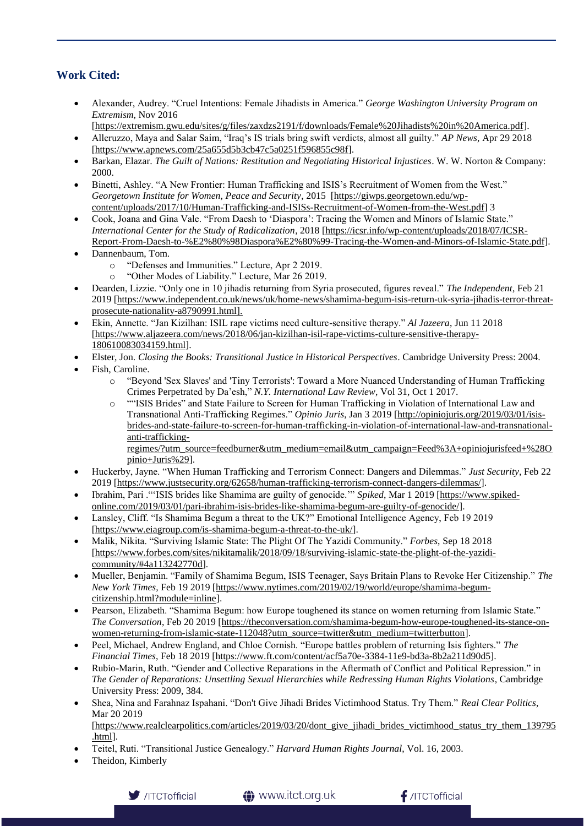## **Work Cited:**

- Alexander, Audrey. "Cruel Intentions: Female Jihadists in America." *George Washington University Program on Extremism*, Nov 2016
	- [\[https://extremism.gwu.edu/sites/g/files/zaxdzs2191/f/downloads/Female%20Jihadists%20in%20America.pdf\]](https://extremism.gwu.edu/sites/g/files/zaxdzs2191/f/downloads/Female%20Jihadists%20in%20America.pdf).
- Alleruzzo, Maya and Salar Saim, "Iraq's IS trials bring swift verdicts, almost all guilty." *AP News*, Apr 29 2018 [\[https://www.apnews.com/25a655d5b3cb47c5a0251f596855c98f\]](https://www.apnews.com/25a655d5b3cb47c5a0251f596855c98f).
- Barkan, Elazar. *The Guilt of Nations: Restitution and Negotiating Historical Injustices*. W. W. Norton & Company: 2000.
- Binetti, Ashley. "A New Frontier: Human Trafficking and ISIS's Recruitment of Women from the West." *Georgetown Institute for Women, Peace and Security*, 2015 [\[https://giwps.georgetown.edu/wp](https://giwps.georgetown.edu/wp-content/uploads/2017/10/Human-Trafficking-and-ISISs-Recruitment-of-Women-from-the-West.pdf)[content/uploads/2017/10/Human-Trafficking-and-ISISs-Recruitment-of-Women-from-the-West.pdf\]](https://giwps.georgetown.edu/wp-content/uploads/2017/10/Human-Trafficking-and-ISISs-Recruitment-of-Women-from-the-West.pdf) 3
- Cook, Joana and Gina Vale. "From Daesh to 'Diaspora': Tracing the Women and Minors of Islamic State." *International Center for the Study of Radicalization*, 2018 [\[https://icsr.info/wp-content/uploads/2018/07/ICSR-](https://icsr.info/wp-content/uploads/2018/07/ICSR-Report-From-Daesh-to-%E2%80%98Diaspora%E2%80%99-Tracing-the-Women-and-Minors-of-Islamic-State.pdf)[Report-From-Daesh-to-%E2%80%98Diaspora%E2%80%99-Tracing-the-Women-and-Minors-of-Islamic-State.pdf\]](https://icsr.info/wp-content/uploads/2018/07/ICSR-Report-From-Daesh-to-%E2%80%98Diaspora%E2%80%99-Tracing-the-Women-and-Minors-of-Islamic-State.pdf).
- Dannenbaum, Tom.
	- o "Defenses and Immunities." Lecture, Apr 2 2019.
	- o "Other Modes of Liability." Lecture, Mar 26 2019.
- Dearden, Lizzie. "Only one in 10 jihadis returning from Syria prosecuted, figures reveal." *The Independent*, Feb 21 2019 [\[https://www.independent.co.uk/news/uk/home-news/shamima-begum-isis-return-uk-syria-jihadis-terror-threat](https://www.independent.co.uk/news/uk/home-news/shamima-begum-isis-return-uk-syria-jihadis-terror-threat-prosecute-nationality-a8790991.html)[prosecute-nationality-a8790991.html\]](https://www.independent.co.uk/news/uk/home-news/shamima-begum-isis-return-uk-syria-jihadis-terror-threat-prosecute-nationality-a8790991.html).
- Ekin, Annette. "Jan Kizilhan: ISIL rape victims need culture-sensitive therapy." *Al Jazeera*, Jun 11 2018 [\[https://www.aljazeera.com/news/2018/06/jan-kizilhan-isil-rape-victims-culture-sensitive-therapy-](https://www.aljazeera.com/news/2018/06/jan-kizilhan-isil-rape-victims-culture-sensitive-therapy-180610083034159.html)[180610083034159.html\]](https://www.aljazeera.com/news/2018/06/jan-kizilhan-isil-rape-victims-culture-sensitive-therapy-180610083034159.html).
- Elster, Jon. *Closing the Books: Transitional Justice in Historical Perspectives*. Cambridge University Press: 2004.
- Fish, Caroline.
	- o "Beyond 'Sex Slaves' and 'Tiny Terrorists': Toward a More Nuanced Understanding of Human Trafficking Crimes Perpetrated by Da'esh," *N.Y. International Law Review*, Vol 31, Oct 1 2017.
	- o ""ISIS Brides" and State Failure to Screen for Human Trafficking in Violation of International Law and Transnational Anti-Trafficking Regimes." *Opinio Juris*, Jan 3 2019 [\[http://opiniojuris.org/2019/03/01/isis](http://opiniojuris.org/2019/03/01/isis-brides-and-state-failure-to-screen-for-human-trafficking-in-violation-of-international-law-and-transnational-anti-trafficking-regimes/?utm_source=feedburner&utm_medium=email&utm_campaign=Feed%3A+opiniojurisfeed+%28Opi)[brides-and-state-failure-to-screen-for-human-trafficking-in-violation-of-international-law-and-transnational](http://opiniojuris.org/2019/03/01/isis-brides-and-state-failure-to-screen-for-human-trafficking-in-violation-of-international-law-and-transnational-anti-trafficking-regimes/?utm_source=feedburner&utm_medium=email&utm_campaign=Feed%3A+opiniojurisfeed+%28Opi)[anti-trafficking](http://opiniojuris.org/2019/03/01/isis-brides-and-state-failure-to-screen-for-human-trafficking-in-violation-of-international-law-and-transnational-anti-trafficking-regimes/?utm_source=feedburner&utm_medium=email&utm_campaign=Feed%3A+opiniojurisfeed+%28Opi)[regimes/?utm\\_source=feedburner&utm\\_medium=email&utm\\_campaign=Feed%3A+opiniojurisfeed+%28O](http://opiniojuris.org/2019/03/01/isis-brides-and-state-failure-to-screen-for-human-trafficking-in-violation-of-international-law-and-transnational-anti-trafficking-regimes/?utm_source=feedburner&utm_medium=email&utm_campaign=Feed%3A+opiniojurisfeed+%28Opi)

[pinio+Juris%29\]](http://opiniojuris.org/2019/03/01/isis-brides-and-state-failure-to-screen-for-human-trafficking-in-violation-of-international-law-and-transnational-anti-trafficking-regimes/?utm_source=feedburner&utm_medium=email&utm_campaign=Feed%3A+opiniojurisfeed+%28Opi).

- Huckerby, Jayne. "When Human Trafficking and Terrorism Connect: Dangers and Dilemmas." *Just Security*, Feb 22 2019 [\[https://www.justsecurity.org/62658/human-trafficking-terrorism-connect-dangers-dilemmas/\]](https://www.justsecurity.org/62658/human-trafficking-terrorism-connect-dangers-dilemmas/).
- Ibrahim, Pari ."'ISIS brides like Shamima are guilty of genocide.'" *Spiked*, Mar 1 2019 [\[https://www.spiked](https://www.spiked-online.com/2019/03/01/pari-ibrahim-isis-brides-like-shamima-begum-are-guilty-of-genocide/)[online.com/2019/03/01/pari-ibrahim-isis-brides-like-shamima-begum-are-guilty-of-genocide/\]](https://www.spiked-online.com/2019/03/01/pari-ibrahim-isis-brides-like-shamima-begum-are-guilty-of-genocide/).
- Lansley, Cliff. "Is Shamima Begum a threat to the UK?" Emotional Intelligence Agency, Feb 19 2019 [\[https://www.eiagroup.com/is-shamima-begum-a-threat-to-the-uk/\]](https://www.eiagroup.com/is-shamima-begum-a-threat-to-the-uk/).
- Malik, Nikita. "Surviving Islamic State: The Plight Of The Yazidi Community." *Forbes*, Sep 18 2018 [\[https://www.forbes.com/sites/nikitamalik/2018/09/18/surviving-islamic-state-the-plight-of-the-yazidi](https://www.forbes.com/sites/nikitamalik/2018/09/18/surviving-islamic-state-the-plight-of-the-yazidi-community/#4a113242770d)[community/#4a113242770d\]](https://www.forbes.com/sites/nikitamalik/2018/09/18/surviving-islamic-state-the-plight-of-the-yazidi-community/#4a113242770d).
- Mueller, Benjamin. "Family of Shamima Begum, ISIS Teenager, Says Britain Plans to Revoke Her Citizenship." *The New York Times,* Feb 19 2019 [\[https://www.nytimes.com/2019/02/19/world/europe/shamima-begum](https://www.nytimes.com/2019/02/19/world/europe/shamima-begum-citizenship.html?module=inline)[citizenship.html?module=inline\]](https://www.nytimes.com/2019/02/19/world/europe/shamima-begum-citizenship.html?module=inline).
- Pearson, Elizabeth. "Shamima Begum: how Europe toughened its stance on women returning from Islamic State." *The Conversation*, Feb 20 2019 [\[https://theconversation.com/shamima-begum-how-europe-toughened-its-stance-on](https://theconversation.com/shamima-begum-how-europe-toughened-its-stance-on-women-returning-from-islamic-state-112048?utm_source=twitter&utm_medium=twitterbutton)[women-returning-from-islamic-state-112048?utm\\_source=twitter&utm\\_medium=twitterbutton\]](https://theconversation.com/shamima-begum-how-europe-toughened-its-stance-on-women-returning-from-islamic-state-112048?utm_source=twitter&utm_medium=twitterbutton).
- Peel, Michael, Andrew England, and Chloe Cornish. "Europe battles problem of returning Isis fighters." *The Financial Times*, Feb 18 2019 [\[https://www.ft.com/content/acf5a70e-3384-11e9-bd3a-8b2a211d90d5\]](https://www.ft.com/content/acf5a70e-3384-11e9-bd3a-8b2a211d90d5).
- Rubio-Marin, Ruth. "Gender and Collective Reparations in the Aftermath of Conflict and Political Repression." in *The Gender of Reparations: Unsettling Sexual Hierarchies while Redressing Human Rights Violations*, Cambridge University Press: 2009, 384.
- Shea, Nina and Farahnaz Ispahani. "Don't Give Jihadi Brides Victimhood Status. Try Them." *Real Clear Politics*, Mar 20 2019 [\[https://www.realclearpolitics.com/articles/2019/03/20/dont\\_give\\_jihadi\\_brides\\_victimhood\\_status\\_try\\_them\\_139795](https://www.realclearpolitics.com/articles/2019/03/20/dont_give_jihadi_brides_victimhood_status_try_them_139795.html)
- [.html\]](https://www.realclearpolitics.com/articles/2019/03/20/dont_give_jihadi_brides_victimhood_status_try_them_139795.html). • Teitel, Ruti. "Transitional Justice Genealogy." *Harvard Human Rights Journal*, Vol. 16, 2003.
- Theidon, Kimberly



**1** www.itct.org.uk